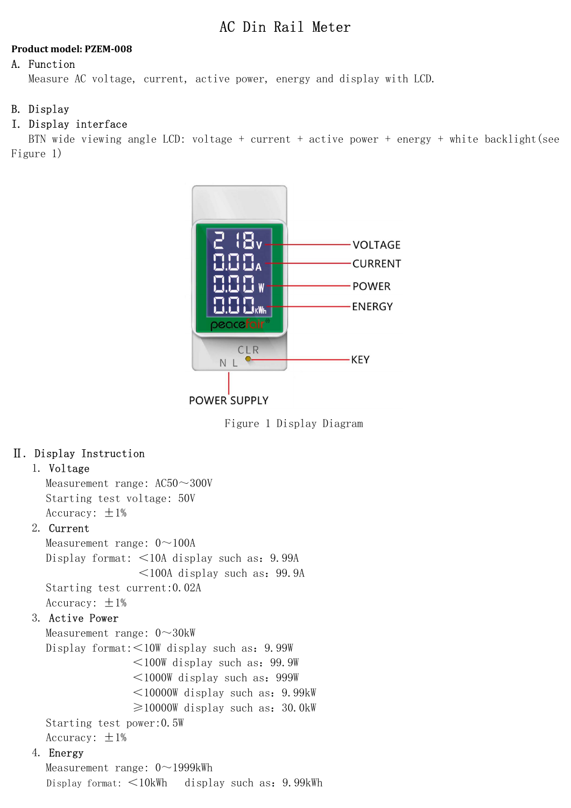# AC Din Rail Meter

### Product model: PZEM-008

### A. Function

Measure AC voltage, current, active power, energy and display with LCD.

### B. Display

## I. Display interface

 BTN wide viewing angle LCD: voltage + current + active power + energy + white backlight(see Figure 1)



Figure 1 Display Diagram

## Ⅱ. Display Instruction

### 1. Voltage

Measurement range: AC50~300V Starting test voltage: 50V Accuracy:  $\pm 1\%$ 

### 2. Current

Measurement range:  $0 \sim 100$ A Display format: <10A display such as:9.99A  $\leq$ 100A display such as: 99.9A Starting test current:0.02A Accuracy:  $\pm 1\%$ 

### 3. Active Power

Measurement range:  $0 \sim 30$ kW Display format:<10W display such as:9.99W  $\leq$ 100W display such as: 99.9W <1000W display such as:999W  $\leq$ 10000W display such as: 9.99kW  $\geq$ 10000W display such as: 30.0kW Starting test power:0.5W Accuracy:  $\pm 1\%$ 

## 4. Energy

Measurement range:  $0 \sim 1999$ kWh Display format: <10kWh display such as:9.99kWh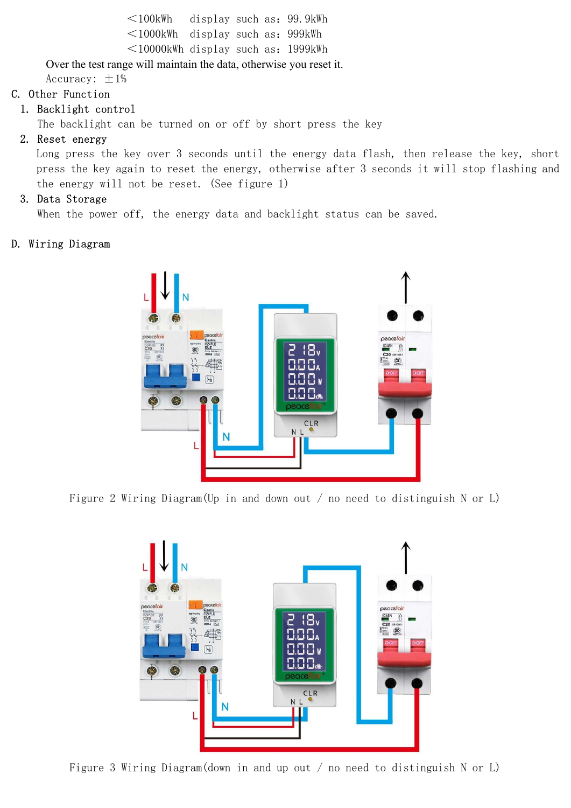<100kWh display such as:99.9kWh <1000kWh display such as:999kWh  $\leq$ 10000kWh display such as: 1999kWh

Over the test range will maintain the data, otherwise you reset it.

Accuracy:  $\pm 1\%$ 

## C. Other Function

## 1. Backlight control

The backlight can be turned on or off by short press the key

## 2. Reset energy

Long press the key over 3 seconds until the energy data flash, then release the key, short press the key again to reset the energy, otherwise after 3 seconds it will stop flashing and the energy will not be reset. (See figure 1)

## 3. Data Storage

When the power off, the energy data and backlight status can be saved.

## D. Wiring Diagram



Figure 2 Wiring Diagram(Up in and down out / no need to distinguish N or L)



Figure 3 Wiring Diagram(down in and up out / no need to distinguish N or L)